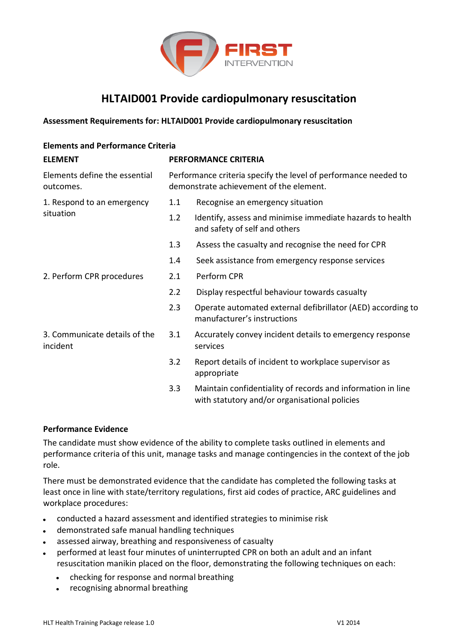

## **HLTAID001 Provide cardiopulmonary resuscitation**

## **Assessment Requirements for: HLTAID001 Provide cardiopulmonary resuscitation**

| <b>Elements and Performance Criteria</b>   |                                                                                                            |                                                                                                              |
|--------------------------------------------|------------------------------------------------------------------------------------------------------------|--------------------------------------------------------------------------------------------------------------|
| <b>ELEMENT</b>                             | <b>PERFORMANCE CRITERIA</b>                                                                                |                                                                                                              |
| Elements define the essential<br>outcomes. | Performance criteria specify the level of performance needed to<br>demonstrate achievement of the element. |                                                                                                              |
| 1. Respond to an emergency<br>situation    | 1.1                                                                                                        | Recognise an emergency situation                                                                             |
|                                            | 1.2                                                                                                        | Identify, assess and minimise immediate hazards to health<br>and safety of self and others                   |
|                                            | 1.3                                                                                                        | Assess the casualty and recognise the need for CPR                                                           |
|                                            | 1.4                                                                                                        | Seek assistance from emergency response services                                                             |
| 2. Perform CPR procedures                  | 2.1                                                                                                        | Perform CPR                                                                                                  |
|                                            | 2.2                                                                                                        | Display respectful behaviour towards casualty                                                                |
|                                            | 2.3                                                                                                        | Operate automated external defibrillator (AED) according to<br>manufacturer's instructions                   |
| 3. Communicate details of the<br>incident  | 3.1                                                                                                        | Accurately convey incident details to emergency response<br>services                                         |
|                                            | 3.2                                                                                                        | Report details of incident to workplace supervisor as<br>appropriate                                         |
|                                            | 3.3                                                                                                        | Maintain confidentiality of records and information in line<br>with statutory and/or organisational policies |

## **Performance Evidence**

The candidate must show evidence of the ability to complete tasks outlined in elements and performance criteria of this unit, manage tasks and manage contingencies in the context of the job role.

There must be demonstrated evidence that the candidate has completed the following tasks at least once in line with state/territory regulations, first aid codes of practice, ARC guidelines and workplace procedures:

- conducted a hazard assessment and identified strategies to minimise risk
- demonstrated safe manual handling techniques
- assessed airway, breathing and responsiveness of casualty
- performed at least four minutes of uninterrupted CPR on both an adult and an infant resuscitation manikin placed on the floor, demonstrating the following techniques on each:
	- checking for response and normal breathing
	- recognising abnormal breathing